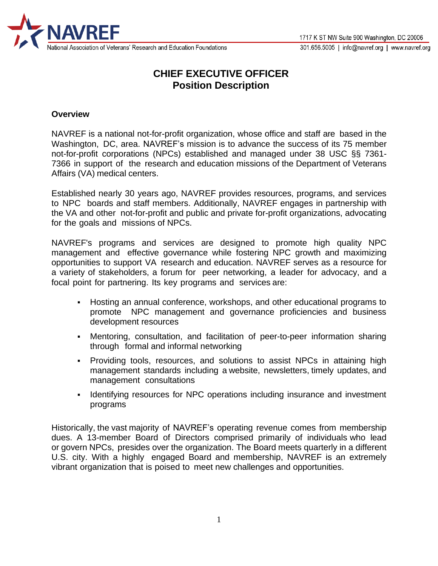

# **CHIEF EXECUTIVE OFFICER Position Description**

#### **Overview**

NAVREF is a national not-for-profit organization, whose office and staff are based in the Washington, DC, area. NAVREF's mission is to advance the success of its 75 member not-for-profit corporations (NPCs) established and managed under 38 USC §§ 7361- 7366 in support of the research and education missions of the Department of Veterans Affairs (VA) medical centers.

Established nearly 30 years ago, NAVREF provides resources, programs, and services to NPC boards and staff members. Additionally, NAVREF engages in partnership with the VA and other not-for-profit and public and private for-profit organizations, advocating for the goals and missions of NPCs.

NAVREF's programs and services are designed to promote high quality NPC management and effective governance while fostering NPC growth and maximizing opportunities to support VA research and education. NAVREF serves as a resource for a variety of stakeholders, a forum for peer networking, a leader for advocacy, and a focal point for partnering. Its key programs and services are:

- Hosting an annual conference, workshops, and other educational programs to promote NPC management and governance proficiencies and business development resources
- Mentoring, consultation, and facilitation of peer-to-peer information sharing through formal and informal networking
- **•** Providing tools, resources, and solutions to assist NPCs in attaining high management standards including a website, newsletters, timely updates, and management consultations
- **EXEDENT** Identifying resources for NPC operations including insurance and investment programs

Historically, the vast majority of NAVREF's operating revenue comes from membership dues. A 13-member Board of Directors comprised primarily of individuals who lead or govern NPCs, presides over the organization. The Board meets quarterly in a different U.S. city. With a highly engaged Board and membership, NAVREF is an extremely vibrant organization that is poised to meet new challenges and opportunities.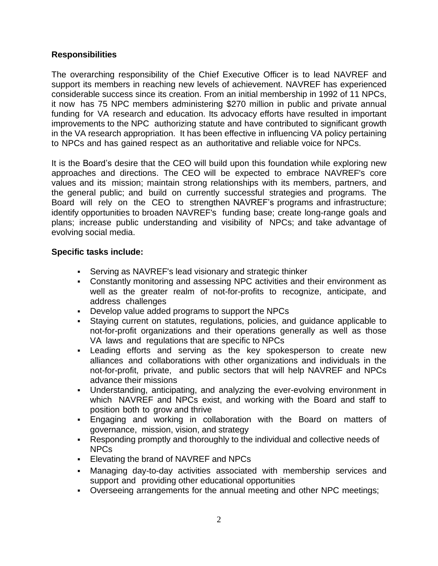## **Responsibilities**

The overarching responsibility of the Chief Executive Officer is to lead NAVREF and support its members in reaching new levels of achievement. NAVREF has experienced considerable success since its creation. From an initial membership in 1992 of 11 NPCs, it now has 75 NPC members administering \$270 million in public and private annual funding for VA research and education. Its advocacy efforts have resulted in important improvements to the NPC authorizing statute and have contributed to significant growth in the VA research appropriation. It has been effective in influencing VA policy pertaining to NPCs and has gained respect as an authoritative and reliable voice for NPCs.

It is the Board's desire that the CEO will build upon this foundation while exploring new approaches and directions. The CEO will be expected to embrace NAVREF's core values and its mission; maintain strong relationships with its members, partners, and the general public; and build on currently successful strategies and programs. The Board will rely on the CEO to strengthen NAVREF's programs and infrastructure; identify opportunities to broaden NAVREF's funding base; create long-range goals and plans; increase public understanding and visibility of NPCs; and take advantage of evolving social media.

## **Specific tasks include:**

- **EXECT**: Serving as NAVREF's lead visionary and strategic thinker
- Constantly monitoring and assessing NPC activities and their environment as well as the greater realm of not-for-profits to recognize, anticipate, and address challenges
- Develop value added programs to support the NPCs
- Staying current on statutes, regulations, policies, and guidance applicable to not-for-profit organizations and their operations generally as well as those VA laws and regulations that are specific to NPCs
- **Example 15 and serving as the key spokesperson to create new** alliances and collaborations with other organizations and individuals in the not-for-profit, private, and public sectors that will help NAVREF and NPCs advance their missions
- Understanding, anticipating, and analyzing the ever-evolving environment in which NAVREF and NPCs exist, and working with the Board and staff to position both to grow and thrive
- Engaging and working in collaboration with the Board on matters of governance, mission, vision, and strategy
- Responding promptly and thoroughly to the individual and collective needs of NPCs
- Elevating the brand of NAVREF and NPCs
- Managing day-to-day activities associated with membership services and support and providing other educational opportunities
- Overseeing arrangements for the annual meeting and other NPC meetings;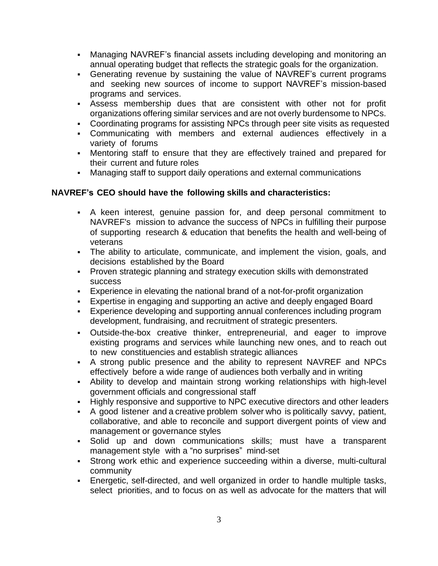- Managing NAVREF's financial assets including developing and monitoring an annual operating budget that reflects the strategic goals for the organization.
- Generating revenue by sustaining the value of NAVREF's current programs and seeking new sources of income to support NAVREF's mission-based programs and services.
- **EXEL Assess membership dues that are consistent with other not for profit** organizations offering similar services and are not overly burdensome to NPCs.
- Coordinating programs for assisting NPCs through peer site visits as requested
- Communicating with members and external audiences effectively in a variety of forums
- **Mentoring staff to ensure that they are effectively trained and prepared for** their current and future roles
- Managing staff to support daily operations and external communications

## **NAVREF's CEO should have the following skills and characteristics:**

- A keen interest, genuine passion for, and deep personal commitment to NAVREF's mission to advance the success of NPCs in fulfilling their purpose of supporting research & education that benefits the health and well-being of veterans
- The ability to articulate, communicate, and implement the vision, goals, and decisions established by the Board
- **Proven strategic planning and strategy execution skills with demonstrated** success
- **Experience in elevating the national brand of a not-for-profit organization**
- **Expertise in engaging and supporting an active and deeply engaged Board**
- **Experience developing and supporting annual conferences including program** development, fundraising, and recruitment of strategic presenters.
- Outside-the-box creative thinker, entrepreneurial, and eager to improve existing programs and services while launching new ones, and to reach out to new constituencies and establish strategic alliances
- A strong public presence and the ability to represent NAVREF and NPCs effectively before a wide range of audiences both verbally and in writing
- Ability to develop and maintain strong working relationships with high-level government officials and congressional staff
- **EXTERCH Highly responsive and supportive to NPC executive directors and other leaders**
- A good listener and a creative problem solver who is politically savvy, patient, collaborative, and able to reconcile and support divergent points of view and management or governance styles
- Solid up and down communications skills; must have a transparent management style with a "no surprises" mind-set
- Strong work ethic and experience succeeding within a diverse, multi-cultural community
- Energetic, self-directed, and well organized in order to handle multiple tasks, select priorities, and to focus on as well as advocate for the matters that will